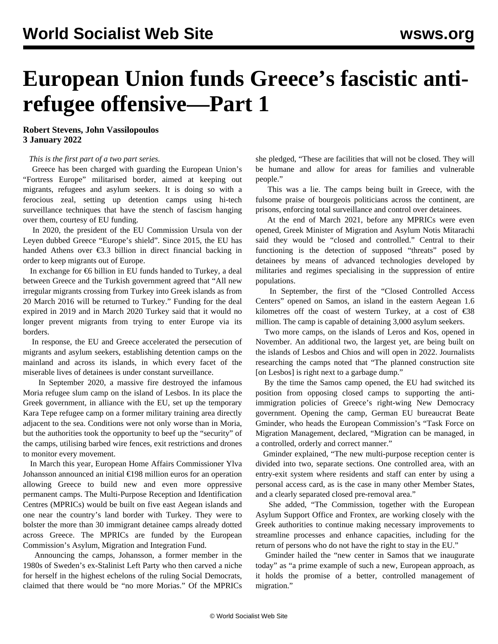## **European Union funds Greece's fascistic antirefugee offensive—Part 1**

**Robert Stevens, John Vassilopoulos 3 January 2022**

## *This is the first part of a two part series.*

 Greece has been charged with guarding the European Union's "Fortress Europe" militarised border, aimed at keeping out migrants, refugees and asylum seekers. It is doing so with a ferocious zeal, setting up detention camps using hi-tech surveillance techniques that have the stench of fascism hanging over them, courtesy of EU funding.

 In 2020, the president of the EU Commission Ursula von der Leyen dubbed Greece "Europe's shield". Since 2015, the EU has handed Athens over €3.3 billion in direct financial backing in order to keep migrants out of Europe.

 In exchange for €6 billion in EU funds handed to Turkey, a deal between Greece and the Turkish government agreed that "All new irregular migrants crossing from Turkey into Greek islands as from 20 March 2016 will be returned to Turkey." Funding for the deal expired in 2019 and in March 2020 Turkey said that it would no longer prevent migrants from trying to enter Europe via its borders.

 In response, the EU and Greece accelerated the persecution of migrants and asylum seekers, establishing detention camps on the mainland and across its islands, in which every facet of the miserable lives of detainees is under constant surveillance.

 In September 2020, a massive fire destroyed the infamous Moria refugee slum camp on the island of Lesbos. In its place the Greek government, in alliance with the EU, set up the temporary Kara Tepe refugee camp on a former military training area directly adjacent to the sea. Conditions were not only [worse than in Moria](/en/articles/2021/01/05/refu-j05.html), but the authorities took the opportunity to beef up the "security" of the camps, utilising barbed wire fences, exit restrictions and drones to monitor every movement.

 In March this year, European Home Affairs Commissioner Ylva Johansson announced an initial €198 million euros for an operation allowing Greece to build new and even more oppressive permanent camps. The Multi-Purpose Reception and Identification Centres (MPRICs) would be built on five east Aegean islands and one near the country's land border with Turkey. They were to bolster the more than 30 immigrant detainee camps already dotted across Greece. The MPRICs are funded by the European Commission's Asylum, Migration and Integration Fund.

 Announcing the camps, Johansson, a former member in the 1980s of Sweden's ex-Stalinist Left Party who then carved a niche for herself in the highest echelons of the ruling Social Democrats, claimed that there would be "no more Morias." Of the MPRICs

she pledged, "These are facilities that will not be closed. They will be humane and allow for areas for families and vulnerable people."

 This was a lie. The camps being built in Greece, with the fulsome praise of bourgeois politicians across the continent, are prisons, enforcing total surveillance and control over detainees.

 At the end of March 2021, before any MPRICs were even opened, Greek Minister of Migration and Asylum Notis Mitarachi said they would be "closed and controlled." Central to their functioning is the detection of supposed "threats" posed by detainees by means of advanced technologies developed by militaries and regimes specialising in the suppression of entire populations.

 In September, the first of the "Closed Controlled Access Centers" opened on Samos, an island in the eastern Aegean 1.6 kilometres off the coast of western Turkey, at a cost of  $\epsilon$ 38 million. The camp is capable of detaining 3,000 asylum seekers.

 Two more camps, on the islands of Leros and Kos, opened in November. An additional two, the largest yet, are being built on the islands of Lesbos and Chios and will open in 2022. Journalists researching the camps noted that "The planned construction site [on Lesbos] is right next to a garbage dump."

 By the time the Samos camp opened, the EU had switched its position from opposing closed camps to supporting the antiimmigration policies of Greece's right-wing New Democracy government. Opening the camp, German EU bureaucrat Beate Gminder, who heads the European Commission's "Task Force on Migration Management, declared, "Migration can be managed, in a controlled, orderly and correct manner."

 Gminder explained, "The new multi-purpose reception center is divided into two, separate sections. One controlled area, with an entry-exit system where residents and staff can enter by using a personal access card, as is the case in many other Member States, and a clearly separated closed pre-removal area."

 She added, "The Commission, together with the European Asylum Support Office and Frontex, are working closely with the Greek authorities to continue making necessary improvements to streamline processes and enhance capacities, including for the return of persons who do not have the right to stay in the EU."

 Gminder hailed the "new center in Samos that we inaugurate today" as "a prime example of such a new, European approach, as it holds the promise of a better, controlled management of migration."